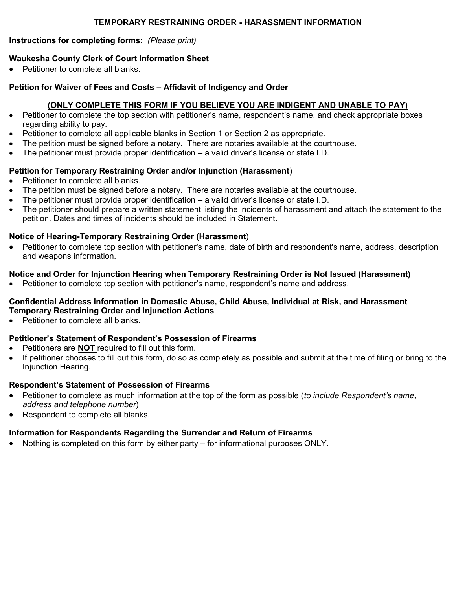### **TEMPORARY RESTRAINING ORDER - HARASSMENT INFORMATION**

#### **Instructions for completing forms:** *(Please print)*

### **Waukesha County Clerk of Court Information Sheet**

Petitioner to complete all blanks.

#### **Petition for Waiver of Fees and Costs – Affidavit of Indigency and Order**

#### **(ONLY COMPLETE THIS FORM IF YOU BELIEVE YOU ARE INDIGENT AND UNABLE TO PAY)**

- Petitioner to complete the top section with petitioner's name, respondent's name, and check appropriate boxes regarding ability to pay.
- Petitioner to complete all applicable blanks in Section 1 or Section 2 as appropriate.
- The petition must be signed before a notary. There are notaries available at the courthouse.
- $\bullet$  The petitioner must provide proper identification a valid driver's license or state I.D.

### **Petition for Temporary Restraining Order and/or Injunction (Harassment**)

- Petitioner to complete all blanks.
- The petition must be signed before a notary. There are notaries available at the courthouse.
- $\bullet$  The petitioner must provide proper identification a valid driver's license or state I.D.
- The petitioner should prepare a written statement listing the incidents of harassment and attach the statement to the petition. Dates and times of incidents should be included in Statement.

### **Notice of Hearing-Temporary Restraining Order (Harassment**)

 Petitioner to complete top section with petitioner's name, date of birth and respondent's name, address, description and weapons information.

### **Notice and Order for Injunction Hearing when Temporary Restraining Order is Not Issued (Harassment)**

Petitioner to complete top section with petitioner's name, respondent's name and address.

### **Confidential Address Information in Domestic Abuse, Child Abuse, Individual at Risk, and Harassment Temporary Restraining Order and Injunction Actions**

• Petitioner to complete all blanks.

### **Petitioner's Statement of Respondent's Possession of Firearms**

- Petitioners are **NOT** required to fill out this form.
- If petitioner chooses to fill out this form, do so as completely as possible and submit at the time of filing or bring to the Injunction Hearing.

### **Respondent's Statement of Possession of Firearms**

- Petitioner to complete as much information at the top of the form as possible (*to include Respondent's name, address and telephone number*)
- Respondent to complete all blanks.

### **Information for Respondents Regarding the Surrender and Return of Firearms**

Nothing is completed on this form by either party – for informational purposes ONLY.